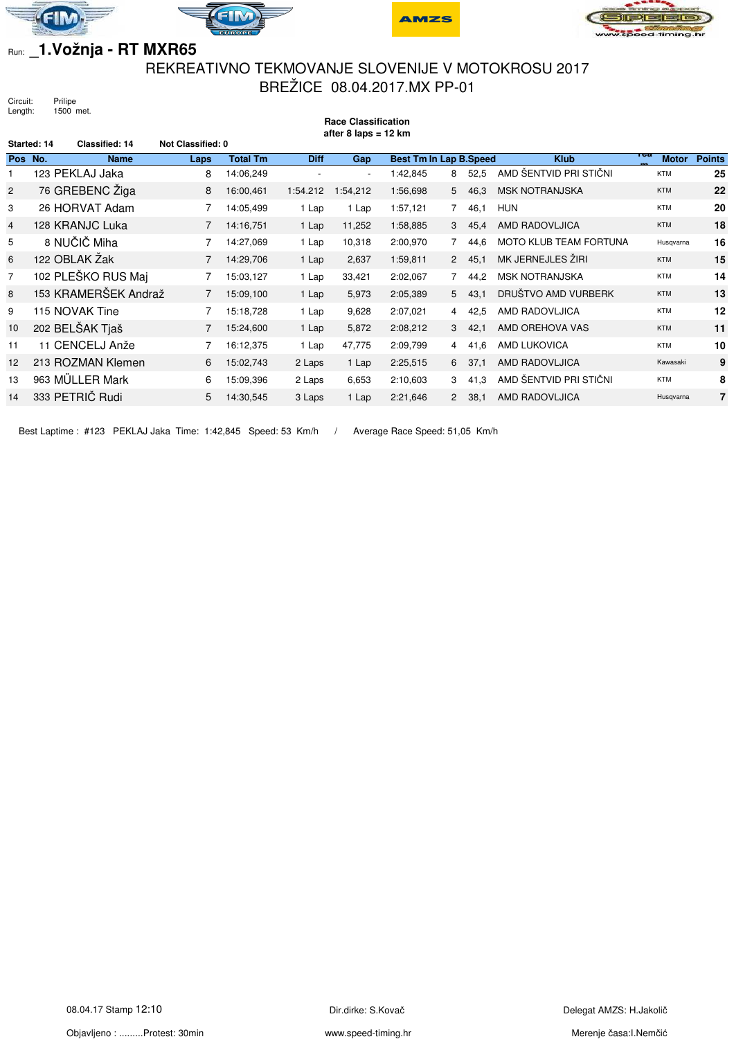







## Run: **\_1.Vožnja - RT MXR65**

## REKREATIVNO TEKMOVANJE SLOVENIJE V MOTOKROSU 2017 BREŽICE 08.04.2017.MX PP-01

**Race Classification**

Circuit: Prilipe<br>Length: 1500 r 1500 met.

|                | after 8 laps = $12 \text{ km}$       |                          |                 |                          |            |                               |                |          |                               |                     |               |
|----------------|--------------------------------------|--------------------------|-----------------|--------------------------|------------|-------------------------------|----------------|----------|-------------------------------|---------------------|---------------|
|                | <b>Classified: 14</b><br>Started: 14 | <b>Not Classified: 0</b> |                 |                          |            |                               |                |          |                               |                     |               |
| Pos No.        | <b>Name</b>                          | Laps                     | <b>Total Tm</b> | <b>Diff</b>              | <b>Gap</b> | <b>Best Tm In Lap B.Speed</b> |                |          | <b>Klub</b>                   | тса<br><b>Motor</b> | <b>Points</b> |
|                | 123 PEKLAJ Jaka                      | 8                        | 14:06,249       | $\overline{\phantom{a}}$ |            | 1:42,845                      | 8              | 52.5     | AMD ŠENTVID PRI STIČNI        | <b>KTM</b>          | 25            |
| $\overline{2}$ | 76 GREBENC Žiga                      | 8                        | 16:00,461       | 1:54.212                 | 1:54,212   | 1:56,698                      | 5 <sup>5</sup> | 46,3     | <b>MSK NOTRANJSKA</b>         | <b>KTM</b>          | 22            |
| 3              | 26 HORVAT Adam                       |                          | 14:05.499       | 1 Lap                    | 1 Lap      | 1:57,121                      | $7^{\circ}$    | 46,1     | <b>HUN</b>                    | <b>KTM</b>          | 20            |
| 4              | 128 KRANJC Luka                      |                          | 14:16.751       | 1 Lap                    | 11,252     | 1:58,885                      |                | 3, 45, 4 | AMD RADOVLJICA                | <b>KTM</b>          | 18            |
| 5              | 8 NUČIČ Miha                         |                          | 14:27,069       | 1 Lap                    | 10,318     | 2:00,970                      | $\overline{7}$ | 44.6     | <b>MOTO KLUB TEAM FORTUNA</b> | Husqvarna           | 16            |
| 6              | 122 OBLAK Žak                        |                          | 14:29,706       | 1 Lap                    | 2,637      | 1:59,811                      |                | 2, 45, 1 | MK JERNEJLES ŽIRI             | <b>KTM</b>          | 15            |
| $\overline{7}$ | 102 PLEŠKO RUS Maj                   |                          | 15:03,127       | 1 Lap                    | 33,421     | 2:02,067                      |                | 44.2     | <b>MSK NOTRANJSKA</b>         | <b>KTM</b>          | 14            |
| 8              | 153 KRAMERŠEK Andraž                 |                          | 15:09,100       | 1 Lap                    | 5,973      | 2:05,389                      | 5 <sup>5</sup> | 43,1     | DRUŠTVO AMD VURBERK           | <b>KTM</b>          | 13            |
| 9              | 115 NOVAK Tine                       |                          | 15:18,728       | 1 Lap                    | 9,628      | 2:07,021                      | $\overline{4}$ | 42,5     | AMD RADOVLJICA                | <b>KTM</b>          | 12            |
| 10             | 202 BELŠAK Tjaš                      |                          | 15:24,600       | 1 Lap                    | 5,872      | 2:08,212                      |                | 3, 42, 1 | AMD OREHOVA VAS               | <b>KTM</b>          | 11            |
| 11             | 11 CENCELJ Anže                      |                          | 16:12,375       | 1 Lap                    | 47,775     | 2:09,799                      | 4              | 41,6     | AMD LUKOVICA                  | <b>KTM</b>          | 10            |
| 12             | 213 ROZMAN Klemen                    | 6                        | 15:02,743       | 2 Laps                   | 1 Lap      | 2:25,515                      |                | 6 37,1   | AMD RADOVLJICA                | Kawasaki            | 9             |
| 13             | 963 MÜLLER Mark                      | 6                        | 15:09.396       | 2 Laps                   | 6,653      | 2:10.603                      | 3              | 41.3     | AMD ŠENTVID PRI STIČNI        | <b>KTM</b>          | 8             |
| 14             | 333 PETRIČ Rudi                      | 5                        | 14:30,545       | 3 Laps                   | 1 Lap      | 2:21,646                      | $2^{\circ}$    | 38,1     | AMD RADOVLJICA                | Husqvarna           |               |

Best Laptime : #123 PEKLAJ Jaka Time: 1:42,845 Speed: 53 Km/h / Average Race Speed: 51,05 Km/h